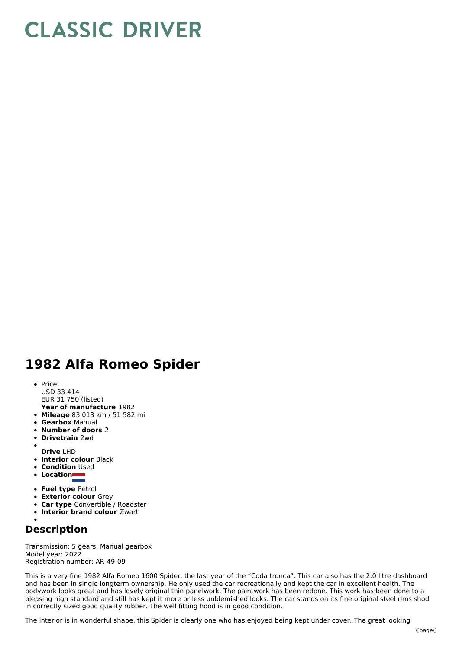## **CLASSIC DRIVER**

## **1982 Alfa Romeo Spider**

- **Year of manufacture** 1982 • Price USD 33 414 EUR 31 750 (listed)
- **Mileage** 83 013 km / 51 582 mi
- **Gearbox** Manual
- **Number of doors** 2
- **Drivetrain** 2wd
- **Drive** LHD
- **Interior colour** Black
- **Condition** Used  $\bullet$
- **Location**
- 
- **Fuel type** Petrol
- **Exterior colour** Grey
- **Car type** Convertible / Roadster
- **Interior brand colour** Zwart

## **Description**

Transmission: 5 gears, Manual gearbox Model year: 2022 Registration number: AR-49-09

This is a very fine 1982 Alfa Romeo 1600 Spider, the last year of the "Coda tronca". This car also has the 2.0 litre dashboard and has been in single longterm ownership. He only used the car recreationally and kept the car in excellent health. The bodywork looks great and has lovely original thin panelwork. The paintwork has been redone. This work has been done to a pleasing high standard and still has kept it more or less unblemished looks. The car stands on its fine original steel rims shod in correctly sized good quality rubber. The well fitting hood is in good condition.

The interior is in wonderful shape, this Spider is clearly one who has enjoyed being kept under cover. The great looking